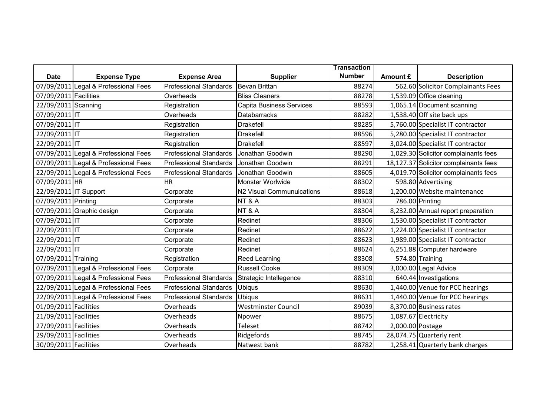|                       |                                      |                               |                                 | <b>Transaction</b> |                  |                                       |
|-----------------------|--------------------------------------|-------------------------------|---------------------------------|--------------------|------------------|---------------------------------------|
| <b>Date</b>           | <b>Expense Type</b>                  | <b>Expense Area</b>           | <b>Supplier</b>                 | <b>Number</b>      | Amount £         | <b>Description</b>                    |
|                       | 07/09/2011 Legal & Professional Fees | <b>Professional Standards</b> | <b>Bevan Brittan</b>            | 88274              |                  | 562.60 Solicitor Complainants Fees    |
| 07/09/2011 Facilities |                                      | Overheads                     | <b>Bliss Cleaners</b>           | 88278              |                  | 1,539.09 Office cleaning              |
| 22/09/2011 Scanning   |                                      | Registration                  | <b>Capita Business Services</b> | 88593              |                  | 1,065.14 Document scanning            |
| 07/09/2011 IT         |                                      | Overheads                     | <b>Databarracks</b>             | 88282              |                  | 1,538.40 Off site back ups            |
| 07/09/2011 IT         |                                      | Registration                  | <b>Drakefell</b>                | 88285              |                  | 5,760.00 Specialist IT contractor     |
| 22/09/2011 IT         |                                      | Registration                  | <b>Drakefell</b>                | 88596              |                  | 5,280.00 Specialist IT contractor     |
| 22/09/2011 IT         |                                      | Registration                  | <b>Drakefell</b>                | 88597              |                  | 3,024.00 Specialist IT contractor     |
|                       | 07/09/2011 Legal & Professional Fees | <b>Professional Standards</b> | Jonathan Goodwin                | 88290              |                  | 1,029.30 Solicitor complainants fees  |
|                       | 07/09/2011 Legal & Professional Fees | <b>Professional Standards</b> | Jonathan Goodwin                | 88291              |                  | 18,127.37 Solicitor complainants fees |
|                       | 22/09/2011 Legal & Professional Fees | <b>Professional Standards</b> | Jonathan Goodwin                | 88605              |                  | 4,019.70 Solicitor complainants fees  |
| 07/09/2011 HR         |                                      | <b>HR</b>                     | Monster Worlwide                | 88302              |                  | 598.80 Advertising                    |
| 22/09/2011 IT Support |                                      | Corporate                     | N2 Visual Communuications       | 88618              |                  | 1,200.00 Website maintenance          |
| 07/09/2011 Printing   |                                      | Corporate                     | NT&A                            | 88303              |                  | 786.00 Printing                       |
|                       | 07/09/2011 Graphic design            | Corporate                     | NT&A                            | 88304              |                  | 8,232.00 Annual report preparation    |
| 07/09/2011 IT         |                                      | Corporate                     | Redinet                         | 88306              |                  | 1,530.00 Specialist IT contractor     |
| 22/09/2011 IT         |                                      | Corporate                     | Redinet                         | 88622              |                  | 1,224.00 Specialist IT contractor     |
| 22/09/2011 IT         |                                      | Corporate                     | Redinet                         | 88623              |                  | 1,989.00 Specialist IT contractor     |
| 22/09/2011 IT         |                                      | Corporate                     | Redinet                         | 88624              |                  | 6,251.88 Computer hardware            |
| 07/09/2011 Training   |                                      | Registration                  | Reed Learning                   | 88308              |                  | 574.80 Training                       |
|                       | 07/09/2011 Legal & Professional Fees | Corporate                     | <b>Russell Cooke</b>            | 88309              |                  | 3,000.00 Legal Advice                 |
|                       | 07/09/2011 Legal & Professional Fees | <b>Professional Standards</b> | Strategic Intellegence          | 88310              |                  | 640.44 Investigations                 |
|                       | 22/09/2011 Legal & Professional Fees | <b>Professional Standards</b> | <b>Ubiqus</b>                   | 88630              |                  | 1,440.00 Venue for PCC hearings       |
|                       | 22/09/2011 Legal & Professional Fees | <b>Professional Standards</b> | <b>Ubiqus</b>                   | 88631              |                  | 1,440.00 Venue for PCC hearings       |
| 01/09/2011 Facilities |                                      | Overheads                     | <b>Westminster Council</b>      | 89039              |                  | 8,370.00 Business rates               |
| 21/09/2011 Facilities |                                      | Overheads                     | Npower                          | 88675              |                  | 1,087.67 Electricity                  |
| 27/09/2011 Facilities |                                      | Overheads                     | Teleset                         | 88742              | 2,000.00 Postage |                                       |
| 29/09/2011 Facilities |                                      | Overheads                     | Ridgefords                      | 88745              |                  | 28,074.75 Quarterly rent              |
| 30/09/2011 Facilities |                                      | Overheads                     | Natwest bank                    | 88782              |                  | $1,258.41$ Quarterly bank charges     |